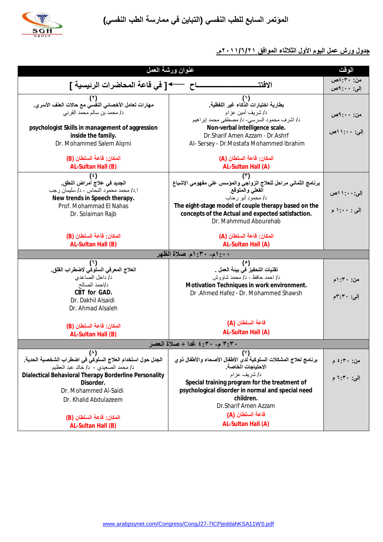**المؤتمر السابع للطب النفسي (التباین في ممارسة الطب النفسي)** 



## **جدول ورش عمل الیوم الأول الثلاثاء الموافق /٦/٢١ ٢٠١١م.**

| عنوان ورشة العمل                                                                              |                                                                                     |                    |  |  |  |  |  |
|-----------------------------------------------------------------------------------------------|-------------------------------------------------------------------------------------|--------------------|--|--|--|--|--|
|                                                                                               |                                                                                     |                    |  |  |  |  |  |
| ـاح                 • [ في قاعة المحاضرات الرئيسية ]                                          | الافتت                                                                              | إلى: ٩:٠٠-0ص       |  |  |  |  |  |
|                                                                                               | $^{\prime\prime}$                                                                   |                    |  |  |  |  |  |
| مهارات تعامل الأخصائي النفِّسي مع حالات العلف الأسرى.                                         | بطارية اختبارات الذكاء غير اللفظية                                                  |                    |  |  |  |  |  |
| د/ محمد بن سالم محمد القرني                                                                   | د/ شريف أمين عزام<br>د/ اشرف محمود السرسي- د/ مصطفى محمد إبراهيم                    | من: ۹:۰۰م <i>ن</i> |  |  |  |  |  |
| psychologist Skills in management of aggression                                               | Non-verbal intelligence scale.                                                      |                    |  |  |  |  |  |
| inside the family.                                                                            | Dr.Sharif Amen Azzam - Dr.Ashrf                                                     | إلى: ١٠٠: ١١ص      |  |  |  |  |  |
| Dr. Mohammed Salem Algrni                                                                     | Al- Sersey - Dr. Mostafa Mohammed Ibrahim                                           |                    |  |  |  |  |  |
|                                                                                               |                                                                                     |                    |  |  |  |  |  |
| المكان: قاعة السلطان (B)                                                                      | المكان: قاعة السلطان (A)                                                            |                    |  |  |  |  |  |
| AL-Sultan Hall (B)                                                                            | AL-Sultan Hall (A)                                                                  |                    |  |  |  |  |  |
| ( با<br>الجديد في علاج أمراض النطق.                                                           | (۳)<br>برنامج الثماني مراحل للعلاج الزواجي والمؤسس على مفهومي الإشباع               |                    |  |  |  |  |  |
| ا د/ محمد محمود النحاس - د/ سليمان رجب                                                        | الفعلى والمتوقع                                                                     | إلى: ١٠: ١١ص       |  |  |  |  |  |
| New trends in Speech therapy.                                                                 | د/ محمود أبو رحاب                                                                   |                    |  |  |  |  |  |
| Prof. Mohammad El Nahas                                                                       | The eight-stage model of couple therapy based on the                                | إلى : ١:٠٠ م       |  |  |  |  |  |
| Dr. Solaiman Rajb                                                                             | concepts of the Actual and expected satisfaction.                                   |                    |  |  |  |  |  |
|                                                                                               | Dr. Mahmmud Abourehab                                                               |                    |  |  |  |  |  |
| المكان: قاعة السلطان (B)                                                                      | المكان: قاعة السلطان (A)                                                            |                    |  |  |  |  |  |
| AL-Sultan Hall (B)                                                                            | AL-Sultan Hall (A)                                                                  |                    |  |  |  |  |  |
|                                                                                               | ١:٠٠م- ٣٠: ١م صلاة الظهر                                                            |                    |  |  |  |  |  |
|                                                                                               | (°)                                                                                 |                    |  |  |  |  |  |
| العلاج المعرفى السلوكي لاضطراب القلق_                                                         | تقنيات التحفيز في بينة العمل .                                                      |                    |  |  |  |  |  |
| د/ داخل الصاعدي                                                                               | د/ احمد حافظ - د/ محمد شاووش                                                        | من: ۳۰: ۱م         |  |  |  |  |  |
| د/احمد الصالح<br>CBT for GAD.                                                                 | Motivation Techniques in work environment.<br>Dr .Ahmed Hafez - Dr. Mohammed Shawsh |                    |  |  |  |  |  |
| Dr. Dakhil Alsaidi                                                                            |                                                                                     | إلى: ٣٠: ٣م        |  |  |  |  |  |
| Dr. Ahmad Alsaleh                                                                             |                                                                                     |                    |  |  |  |  |  |
|                                                                                               |                                                                                     |                    |  |  |  |  |  |
| المكان: قاعة السلطان (B)                                                                      | قاعة السلطان (A)                                                                    |                    |  |  |  |  |  |
| AL-Sultan Hall (B)                                                                            | AL-Sultan Hall (A)                                                                  |                    |  |  |  |  |  |
| ٣:٣٠ م- ٣:٢٠ غدا + صلاة العصر                                                                 |                                                                                     |                    |  |  |  |  |  |
| $(\wedge)$                                                                                    | $(\vee)$                                                                            |                    |  |  |  |  |  |
| الجدل حول استخدام العلاج السلوكي في اضطراب الشخصية الحدية.                                    | برنامج لعلاج المشكلات السلوكية لدى الأطفال الأصحاء والأطفال ذوى                     | من: ۳۰: ٤ م        |  |  |  |  |  |
| د/ محمد الصعيدى - د/ خالد عبد العظيم<br>Dialectical Behavioral Therapy Borderline Personality | الاحتياجات الخاصة<br>د/ شريف عزام                                                   |                    |  |  |  |  |  |
| Disorder.                                                                                     | Special training program for the treatment of                                       | إلى: ٣٠: ٦ م       |  |  |  |  |  |
| Dr. Mohammed Al-Saidi                                                                         | psychological disorder in normal and special need                                   |                    |  |  |  |  |  |
| Dr. Khalid Abdulazeem                                                                         | children.                                                                           |                    |  |  |  |  |  |
|                                                                                               | Dr.Sharif Amen Azzam                                                                |                    |  |  |  |  |  |
| المكان: قاعة السلطان (B)                                                                      | قاعة السلطا <i>ن</i> (A)                                                            |                    |  |  |  |  |  |
| AL-Sultan Hall (B)                                                                            | AL-Sultan Hall (A)                                                                  |                    |  |  |  |  |  |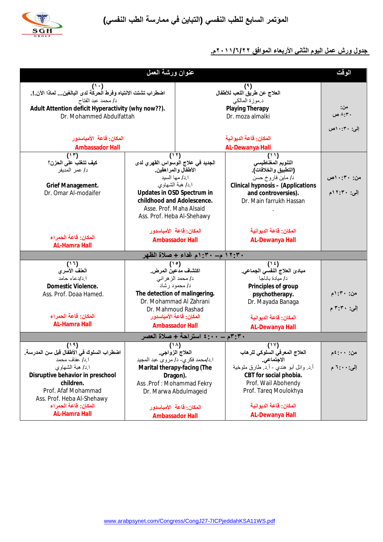



## **جدول ورش عمل الیوم الثاني الأربعاء الموافق ٢٠١١/٦/٢٢م.**

| عنوان ورشة العمل                                            |                                      |                        |                                                        |                |  |  |  |  |
|-------------------------------------------------------------|--------------------------------------|------------------------|--------------------------------------------------------|----------------|--|--|--|--|
|                                                             |                                      | (3)                    |                                                        |                |  |  |  |  |
| اضطراب تشتت الانتباه وفرط الحركة لدى البالغين لماذا الآن.!. |                                      |                        | العلاج عن طريق اللعب للأطفال                           |                |  |  |  |  |
| د/ محمد عبد الفتاح                                          |                                      | د موزة المالكي         |                                                        |                |  |  |  |  |
| Adult Attention deficit Hyperactivity (why now??).          |                                      | <b>Playing Therapy</b> |                                                        | من:<br>۸:۳۰ ص  |  |  |  |  |
| Dr. Mohammed Abdulfattah                                    |                                      |                        | Dr. moza almalki                                       |                |  |  |  |  |
|                                                             |                                      |                        |                                                        | إلى: ١٠:٣٠ص    |  |  |  |  |
| المكان: قاعة الأمباسدور                                     |                                      | المكان: قاعة الديوانية |                                                        |                |  |  |  |  |
| <b>Ambassador Hall</b>                                      |                                      | <b>AL-Dewanya Hall</b> |                                                        |                |  |  |  |  |
| (11)                                                        | (11)                                 |                        | (11)                                                   |                |  |  |  |  |
| كيف تتغلب على الحزن؟                                        | الجديد في علاج الوسواس القهري لدى    |                        | التنويم المغناطيسي                                     |                |  |  |  |  |
| د/ عمر المديفر                                              | الأطفال والمراهقين<br>ا د/ مها السيد |                        | (التطبيق والخلافات).                                   |                |  |  |  |  |
| Grief Management.                                           | ا د/ هبة الشهاوي                     |                        | د/ ماين فاروخ حسن<br>Clinical hypnosis - (Applications | من: ۳۰: ۱۰ص    |  |  |  |  |
| Dr. Omar Al-modaifer                                        | Updates in OSD Spectrum in           |                        | and controversies).                                    | إلى: ١٢:٢٠م    |  |  |  |  |
|                                                             | childhood and Adolescence.           |                        | Dr. Main farrukh Hassan                                |                |  |  |  |  |
|                                                             | Asse. Prof. Maha Alsaid              |                        |                                                        |                |  |  |  |  |
|                                                             | Ass. Prof. Heba Al-Shehawy           |                        |                                                        |                |  |  |  |  |
|                                                             |                                      |                        |                                                        |                |  |  |  |  |
|                                                             | المكان: قاعة الأمباسدور              |                        | المكان: قاعة الديوانية                                 |                |  |  |  |  |
| المكان: قاعة الحمراء                                        | <b>Ambassador Hall</b>               |                        | <b>AL-Dewanya Hall</b>                                 |                |  |  |  |  |
| <b>AL-Hamra Hall</b><br>١٢:٣٠ م - ١٠: ١م غداء + صلاة الظهر  |                                      |                        |                                                        |                |  |  |  |  |
|                                                             |                                      |                        |                                                        |                |  |  |  |  |
| (11)<br>العفف الأسرى                                        | (10)<br>اكتشاف مدعين المرض           |                        | (1)<br>مبادئ العلاج النفسي الجماعي <sub>.</sub>        |                |  |  |  |  |
| ا د/دعاء حامد                                               | د/ محمد الز هر اني                   |                        | د/ ميادة باناجا                                        |                |  |  |  |  |
| Domestic Violence.                                          | د/ محمود رشاد                        |                        | Principles of group                                    |                |  |  |  |  |
| Ass. Prof. Doaa Hamed.                                      | The detection of malingering.        |                        | psychotherapy.                                         | من: ۳۰: ۱م     |  |  |  |  |
|                                                             | Dr. Mohammad Al Zahrani              |                        | Dr. Mayada Banaga                                      |                |  |  |  |  |
|                                                             | Dr. Mahmoud Rashad                   |                        |                                                        | إلى: ٣:٣٠م     |  |  |  |  |
| المكان: قاعة الحمراء                                        | المكان: قاعة الأمباسدور              |                        | المكان: قاعة الديوانية                                 |                |  |  |  |  |
| <b>AL-Hamra Hall</b>                                        | <b>Ambassador Hall</b>               |                        | <b>AL-Dewanya Hall</b>                                 |                |  |  |  |  |
| ٣٠٣٠م ـــ ٤٠٠٠ استراحة + صلاة العصر                         |                                      |                        |                                                        |                |  |  |  |  |
| ( ' ' ' )                                                   | $(1 \wedge)$                         |                        | (11)                                                   |                |  |  |  |  |
| اضطراب السلوك في الأطفال قبل سن المدرسة.                    | العلاج الزواجي                       |                        | العلاج المعرفي السلوكي للرهاب                          |                |  |  |  |  |
| ا د/ عفاف محمد                                              | ا د/محمد فكر ي- د/ مر و ي عبد المجيد |                        | الاجتماعي                                              |                |  |  |  |  |
| ا د/ هبة الشهاوي                                            | Marital therapy-facing (The          |                        | أ د. وائل أبو هندي - أ د. طارق ملوخية                  | إلى: • • : ٦ م |  |  |  |  |
| Disruptive behavior in preschool                            | Dragon).                             |                        | CBT for social phobia.                                 |                |  |  |  |  |
| children.                                                   | Ass .Prof: Mohammad Fekry            |                        | Prof. Wail Abohendy                                    |                |  |  |  |  |
| Prof. Afaf Mohammad                                         | Dr. Marwa Abdulmageid                |                        | Prof. Tareq Moulokhya                                  |                |  |  |  |  |
| Ass. Prof. Heba Al-Shehawy<br>المكان: قاعة الحمراء          | المكان: قاعة الأمباسدور              |                        | المكان: قاعة الديوانية                                 |                |  |  |  |  |
| <b>AL-Hamra Hall</b>                                        |                                      |                        | <b>AL-Dewanya Hall</b>                                 |                |  |  |  |  |
|                                                             | <b>Ambassador Hall</b>               |                        |                                                        |                |  |  |  |  |